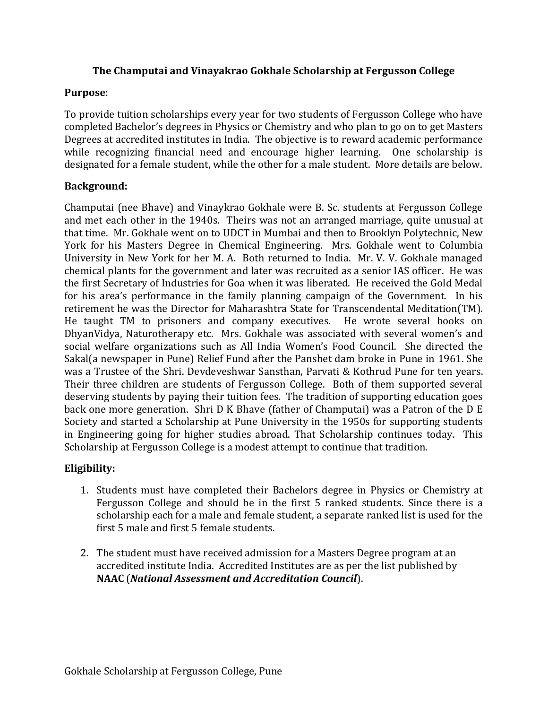#### **The Champutai and Vinayakrao Gokhale Scholarship at Fergusson College**

#### **Purpose**:

To provide tuition scholarships every year for two students of Fergusson College who have completed Bachelor's degrees in Physics or Chemistry and who plan to go on to get Masters Degrees at accredited institutes in India. The objective is to reward academic performance while recognizing financial need and encourage higher learning. One scholarship is designated for a female student, while the other for a male student. More details are below.

# **Background:**

Champutai (nee Bhave) and Vinaykrao Gokhale were B. Sc. students at Fergusson College and met each other in the 1940s. Theirs was not an arranged marriage, quite unusual at that time. Mr. Gokhale went on to UDCT in Mumbai and then to Brooklyn Polytechnic, New York for his Masters Degree in Chemical Engineering. Mrs. Gokhale went to Columbia University in New York for her M. A. Both returned to India. Mr. V. V. Gokhale managed chemical plants for the government and later was recruited as a senior IAS officer. He was the first Secretary of Industries for Goa when it was liberated. He received the Gold Medal for his area's performance in the family planning campaign of the Government. In his retirement he was the Director for Maharashtra State for Transcendental Meditation(TM). He taught TM to prisoners and company executives. He wrote several books on DhyanVidya, Naturotherapy etc. Mrs. Gokhale was associated with several women's and social welfare organizations such as All India Women's Food Council. She directed the Sakal(a newspaper in Pune) Relief Fund after the Panshet dam broke in Pune in 1961. She was a Trustee of the Shri. Devdeveshwar Sansthan, Parvati & Kothrud Pune for ten years. Their three children are students of Fergusson College. Both of them supported several deserving students by paying their tuition fees. The tradition of supporting education goes back one more generation. Shri D K Bhave (father of Champutai) was a Patron of the D E Society and started a Scholarship at Pune University in the 1950s for supporting students in Engineering going for higher studies abroad. That Scholarship continues today. This Scholarship at Fergusson College is a modest attempt to continue that tradition.

# **Eligibility:**

- 1. Students must have completed their Bachelors degree in Physics or Chemistry at Fergusson College and should be in the first 5 ranked students. Since there is a scholarship each for a male and female student, a separate ranked list is used for the first 5 male and first 5 female students.
- 2. The student must have received admission for a Masters Degree program at an accredited institute India. Accredited Institutes are as per the list published by **NAAC** (*National Assessment and Accreditation Council*).